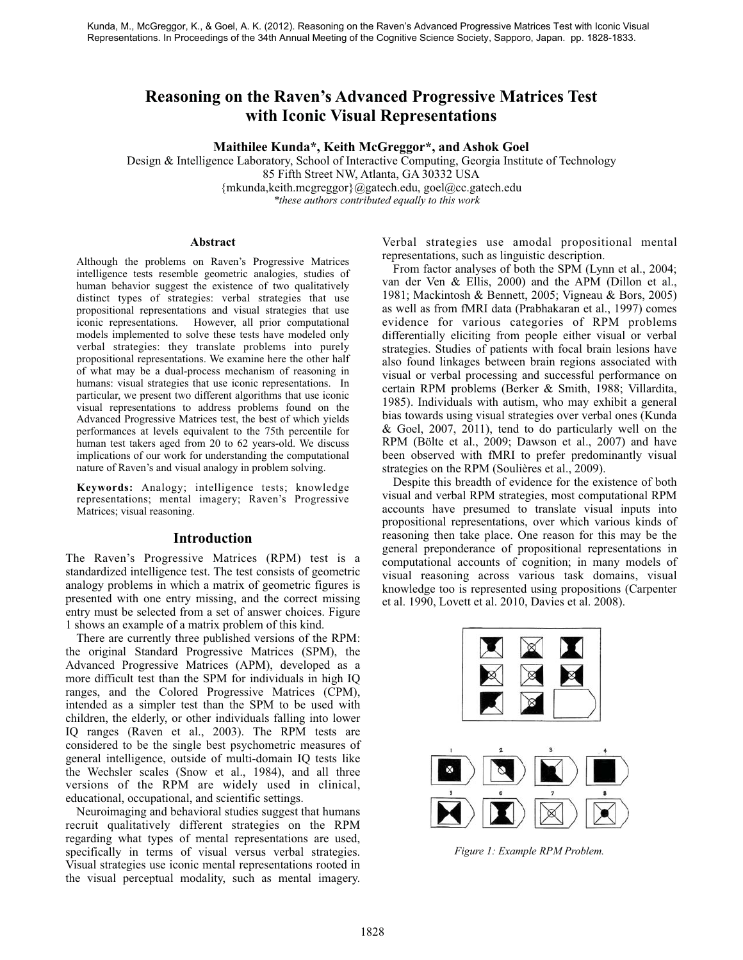# **Reasoning on the Raven's Advanced Progressive Matrices Test with Iconic Visual Representations**

**Maithilee Kunda\*, Keith McGreggor\*, and Ashok Goel**

Design & Intelligence Laboratory, School of Interactive Computing, Georgia Institute of Technology 85 Fifth Street NW, Atlanta, GA 30332 USA {mkunda,keith.mcgreggor}@gatech.edu, goel@cc.gatech.edu *\*these authors contributed equally to this work*

#### **Abstract**

Although the problems on Raven's Progressive Matrices intelligence tests resemble geometric analogies, studies of human behavior suggest the existence of two qualitatively distinct types of strategies: verbal strategies that use propositional representations and visual strategies that use iconic representations. However, all prior computational models implemented to solve these tests have modeled only verbal strategies: they translate problems into purely propositional representations. We examine here the other half of what may be a dual-process mechanism of reasoning in humans: visual strategies that use iconic representations. In particular, we present two different algorithms that use iconic visual representations to address problems found on the Advanced Progressive Matrices test, the best of which yields performances at levels equivalent to the 75th percentile for human test takers aged from 20 to 62 years-old. We discuss implications of our work for understanding the computational nature of Raven's and visual analogy in problem solving.

**Keywords:** Analogy; intelligence tests; knowledge representations; mental imagery; Raven's Progressive Matrices; visual reasoning.

### **Introduction**

The Raven's Progressive Matrices (RPM) test is a standardized intelligence test. The test consists of geometric analogy problems in which a matrix of geometric figures is presented with one entry missing, and the correct missing entry must be selected from a set of answer choices. Figure 1 shows an example of a matrix problem of this kind.

There are currently three published versions of the RPM: the original Standard Progressive Matrices (SPM), the Advanced Progressive Matrices (APM), developed as a more difficult test than the SPM for individuals in high IQ ranges, and the Colored Progressive Matrices (CPM), intended as a simpler test than the SPM to be used with children, the elderly, or other individuals falling into lower IQ ranges (Raven et al., 2003). The RPM tests are considered to be the single best psychometric measures of general intelligence, outside of multi-domain IQ tests like the Wechsler scales (Snow et al., 1984), and all three versions of the RPM are widely used in clinical, educational, occupational, and scientific settings.

Neuroimaging and behavioral studies suggest that humans recruit qualitatively different strategies on the RPM regarding what types of mental representations are used, specifically in terms of visual versus verbal strategies. Visual strategies use iconic mental representations rooted in the visual perceptual modality, such as mental imagery.

Verbal strategies use amodal propositional mental representations, such as linguistic description.

From factor analyses of both the SPM (Lynn et al., 2004; van der Ven & Ellis, 2000) and the APM (Dillon et al., 1981; Mackintosh & Bennett, 2005; Vigneau & Bors, 2005) as well as from fMRI data (Prabhakaran et al., 1997) comes evidence for various categories of RPM problems differentially eliciting from people either visual or verbal strategies. Studies of patients with focal brain lesions have also found linkages between brain regions associated with visual or verbal processing and successful performance on certain RPM problems (Berker & Smith, 1988; Villardita, 1985). Individuals with autism, who may exhibit a general bias towards using visual strategies over verbal ones (Kunda & Goel, 2007, 2011), tend to do particularly well on the RPM (Bölte et al., 2009; Dawson et al., 2007) and have been observed with fMRI to prefer predominantly visual strategies on the RPM (Soulières et al., 2009).

Despite this breadth of evidence for the existence of both visual and verbal RPM strategies, most computational RPM accounts have presumed to translate visual inputs into propositional representations, over which various kinds of reasoning then take place. One reason for this may be the general preponderance of propositional representations in computational accounts of cognition; in many models of visual reasoning across various task domains, visual knowledge too is represented using propositions (Carpenter et al. 1990, Lovett et al. 2010, Davies et al. 2008).



*Figure 1: Example RPM Problem.*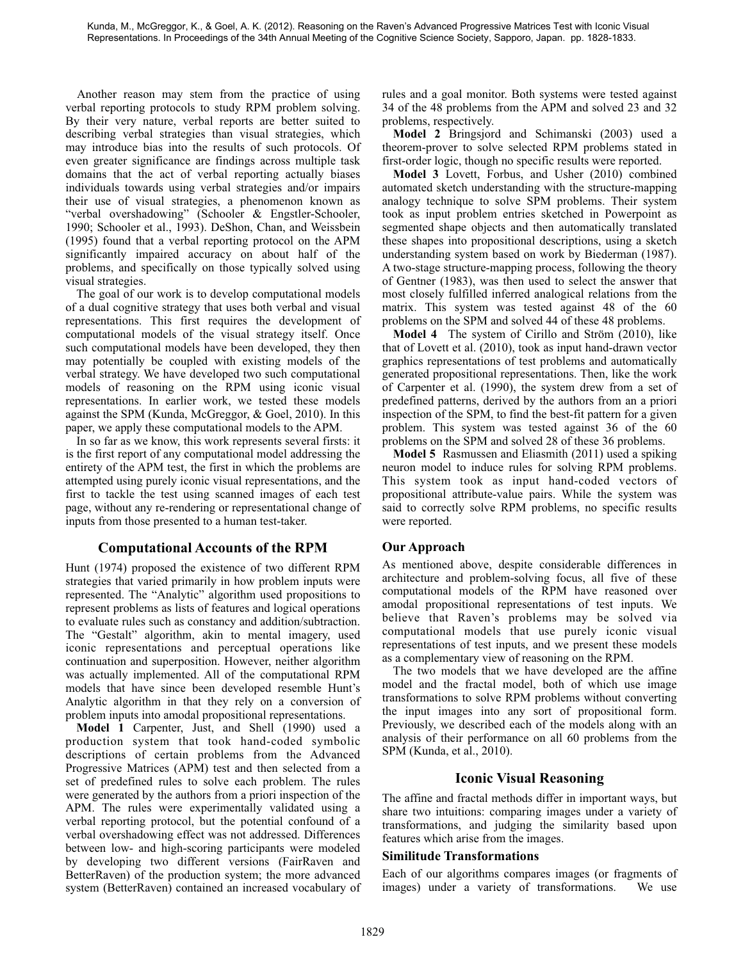Another reason may stem from the practice of using verbal reporting protocols to study RPM problem solving. By their very nature, verbal reports are better suited to describing verbal strategies than visual strategies, which may introduce bias into the results of such protocols. Of even greater significance are findings across multiple task domains that the act of verbal reporting actually biases individuals towards using verbal strategies and/or impairs their use of visual strategies, a phenomenon known as "verbal overshadowing" (Schooler & Engstler-Schooler, 1990; Schooler et al., 1993). DeShon, Chan, and Weissbein (1995) found that a verbal reporting protocol on the APM significantly impaired accuracy on about half of the problems, and specifically on those typically solved using visual strategies.

The goal of our work is to develop computational models of a dual cognitive strategy that uses both verbal and visual representations. This first requires the development of computational models of the visual strategy itself. Once such computational models have been developed, they then may potentially be coupled with existing models of the verbal strategy. We have developed two such computational models of reasoning on the RPM using iconic visual representations. In earlier work, we tested these models against the SPM (Kunda, McGreggor, & Goel, 2010). In this paper, we apply these computational models to the APM.

In so far as we know, this work represents several firsts: it is the first report of any computational model addressing the entirety of the APM test, the first in which the problems are attempted using purely iconic visual representations, and the first to tackle the test using scanned images of each test page, without any re-rendering or representational change of inputs from those presented to a human test-taker.

## **Computational Accounts of the RPM**

Hunt (1974) proposed the existence of two different RPM strategies that varied primarily in how problem inputs were represented. The "Analytic" algorithm used propositions to represent problems as lists of features and logical operations to evaluate rules such as constancy and addition/subtraction. The "Gestalt" algorithm, akin to mental imagery, used iconic representations and perceptual operations like continuation and superposition. However, neither algorithm was actually implemented. All of the computational RPM models that have since been developed resemble Hunt's Analytic algorithm in that they rely on a conversion of problem inputs into amodal propositional representations.

**Model 1** Carpenter, Just, and Shell (1990) used a production system that took hand-coded symbolic descriptions of certain problems from the Advanced Progressive Matrices (APM) test and then selected from a set of predefined rules to solve each problem. The rules were generated by the authors from a priori inspection of the APM. The rules were experimentally validated using a verbal reporting protocol, but the potential confound of a verbal overshadowing effect was not addressed. Differences between low- and high-scoring participants were modeled by developing two different versions (FairRaven and BetterRaven) of the production system; the more advanced system (BetterRaven) contained an increased vocabulary of rules and a goal monitor. Both systems were tested against 34 of the 48 problems from the APM and solved 23 and 32 problems, respectively.

**Model 2** Bringsjord and Schimanski (2003) used a theorem-prover to solve selected RPM problems stated in first-order logic, though no specific results were reported.

**Model 3** Lovett, Forbus, and Usher (2010) combined automated sketch understanding with the structure-mapping analogy technique to solve SPM problems. Their system took as input problem entries sketched in Powerpoint as segmented shape objects and then automatically translated these shapes into propositional descriptions, using a sketch understanding system based on work by Biederman (1987). A two-stage structure-mapping process, following the theory of Gentner (1983), was then used to select the answer that most closely fulfilled inferred analogical relations from the matrix. This system was tested against 48 of the 60 problems on the SPM and solved 44 of these 48 problems.

**Model 4** The system of Cirillo and Ström (2010), like that of Lovett et al. (2010), took as input hand-drawn vector graphics representations of test problems and automatically generated propositional representations. Then, like the work of Carpenter et al. (1990), the system drew from a set of predefined patterns, derived by the authors from an a priori inspection of the SPM, to find the best-fit pattern for a given problem. This system was tested against 36 of the 60 problems on the SPM and solved 28 of these 36 problems.

**Model 5** Rasmussen and Eliasmith (2011) used a spiking neuron model to induce rules for solving RPM problems. This system took as input hand-coded vectors of propositional attribute-value pairs. While the system was said to correctly solve RPM problems, no specific results were reported.

## **Our Approach**

As mentioned above, despite considerable differences in architecture and problem-solving focus, all five of these computational models of the RPM have reasoned over amodal propositional representations of test inputs. We believe that Raven's problems may be solved via computational models that use purely iconic visual representations of test inputs, and we present these models as a complementary view of reasoning on the RPM.

The two models that we have developed are the affine model and the fractal model, both of which use image transformations to solve RPM problems without converting the input images into any sort of propositional form. Previously, we described each of the models along with an analysis of their performance on all 60 problems from the SPM (Kunda, et al., 2010).

## **Iconic Visual Reasoning**

The affine and fractal methods differ in important ways, but share two intuitions: comparing images under a variety of transformations, and judging the similarity based upon features which arise from the images.

## **Similitude Transformations**

Each of our algorithms compares images (or fragments of images) under a variety of transformations. We use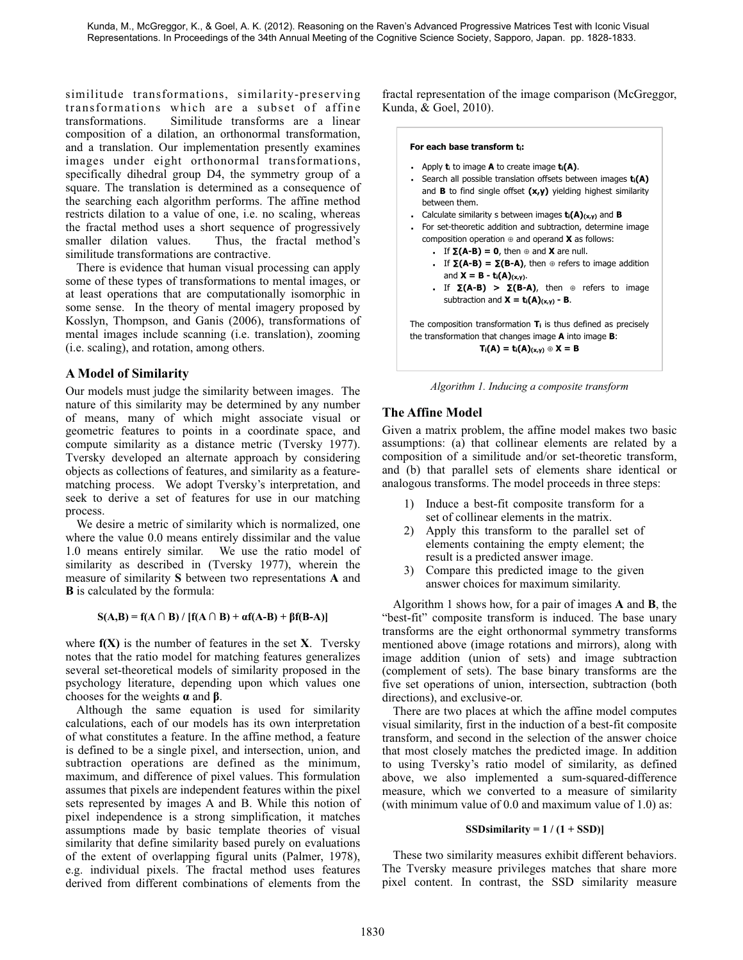similitude transformations, similarity-preserving transformations which are a subset of affine transformations. Similitude transforms are a linear composition of a dilation, an orthonormal transformation, and a translation. Our implementation presently examines images under eight orthonormal transformations, specifically dihedral group D4, the symmetry group of a square. The translation is determined as a consequence of the searching each algorithm performs. The affine method restricts dilation to a value of one, i.e. no scaling, whereas the fractal method uses a short sequence of progressively smaller dilation values. Thus, the fractal method's similitude transformations are contractive.

There is evidence that human visual processing can apply some of these types of transformations to mental images, or at least operations that are computationally isomorphic in some sense. In the theory of mental imagery proposed by Kosslyn, Thompson, and Ganis (2006), transformations of mental images include scanning (i.e. translation), zooming (i.e. scaling), and rotation, among others.

## **A Model of Similarity**

Our models must judge the similarity between images. The nature of this similarity may be determined by any number of means, many of which might associate visual or geometric features to points in a coordinate space, and compute similarity as a distance metric (Tversky 1977). Tversky developed an alternate approach by considering objects as collections of features, and similarity as a featurematching process. We adopt Tversky's interpretation, and seek to derive a set of features for use in our matching process.

We desire a metric of similarity which is normalized, one where the value 0.0 means entirely dissimilar and the value 1.0 means entirely similar. We use the ratio model of similarity as described in (Tversky 1977), wherein the measure of similarity **S** between two representations **A** and **B** is calculated by the formula:

### $S(A,B) = f(A \cap B) / [f(A \cap B) + \alpha f(A-B) + \beta f(B-A)]$

where **f(X)** is the number of features in the set **X**. Tversky notes that the ratio model for matching features generalizes several set-theoretical models of similarity proposed in the psychology literature, depending upon which values one chooses for the weights **α** and **β**.

Although the same equation is used for similarity calculations, each of our models has its own interpretation of what constitutes a feature. In the affine method, a feature is defined to be a single pixel, and intersection, union, and subtraction operations are defined as the minimum, maximum, and difference of pixel values. This formulation assumes that pixels are independent features within the pixel sets represented by images A and B. While this notion of pixel independence is a strong simplification, it matches assumptions made by basic template theories of visual similarity that define similarity based purely on evaluations of the extent of overlapping figural units (Palmer, 1978), e.g. individual pixels. The fractal method uses features derived from different combinations of elements from the

fractal representation of the image comparison (McGreggor, Kunda, & Goel, 2010).

#### **For each base transform ti:**

- Apply **t**i to image **A** to create image **ti(A)**.
- -Search all possible translation offsets between images  $t_i(A)$ and **B** to find single offset **(x,y)** yielding highest similarity between them.
- Calculate similarity s between images **ti(A)(x,y)** and **B**
- For set-theoretic addition and subtraction, determine image composition operation ⊕ and operand **X** as follows:
	- $\cdot$  If  $\Sigma(A-B) = 0$ , then ⊕ and **X** are null.
	- **.** If  $Σ(A-B) = Σ(B-A)$ , then ⊕ refers to image addition and  $X = B - t_i(A)_{(x,y)}$ .
	- $\cdot$  If **Σ(A-B)** > **Σ(B-A)**, then ⊕ refers to image subtraction and  $X = t_i(A)(x,y) - B$ .

The composition transformation **Ti** is thus defined as precisely the transformation that changes image **A** into image **B**:  $T_i(A) = t_i(A)_{(x,y)} \oplus X = B$ 

*Algorithm 1. Inducing a composite transform* 

## **The Affine Model**

Given a matrix problem, the affine model makes two basic assumptions: (a) that collinear elements are related by a composition of a similitude and/or set-theoretic transform, and (b) that parallel sets of elements share identical or analogous transforms. The model proceeds in three steps:

- 1) Induce a best-fit composite transform for a set of collinear elements in the matrix.
- 2) Apply this transform to the parallel set of elements containing the empty element; the result is a predicted answer image.
- 3) Compare this predicted image to the given answer choices for maximum similarity.

Algorithm 1 shows how, for a pair of images **A** and **B**, the "best-fit" composite transform is induced. The base unary transforms are the eight orthonormal symmetry transforms mentioned above (image rotations and mirrors), along with image addition (union of sets) and image subtraction (complement of sets). The base binary transforms are the five set operations of union, intersection, subtraction (both directions), and exclusive-or.

There are two places at which the affine model computes visual similarity, first in the induction of a best-fit composite transform, and second in the selection of the answer choice that most closely matches the predicted image. In addition to using Tversky's ratio model of similarity, as defined above, we also implemented a sum-squared-difference measure, which we converted to a measure of similarity (with minimum value of 0.0 and maximum value of 1.0) as:

### **SSDsimilarity =**  $1/(1 + SSD)$

These two similarity measures exhibit different behaviors. The Tversky measure privileges matches that share more pixel content. In contrast, the SSD similarity measure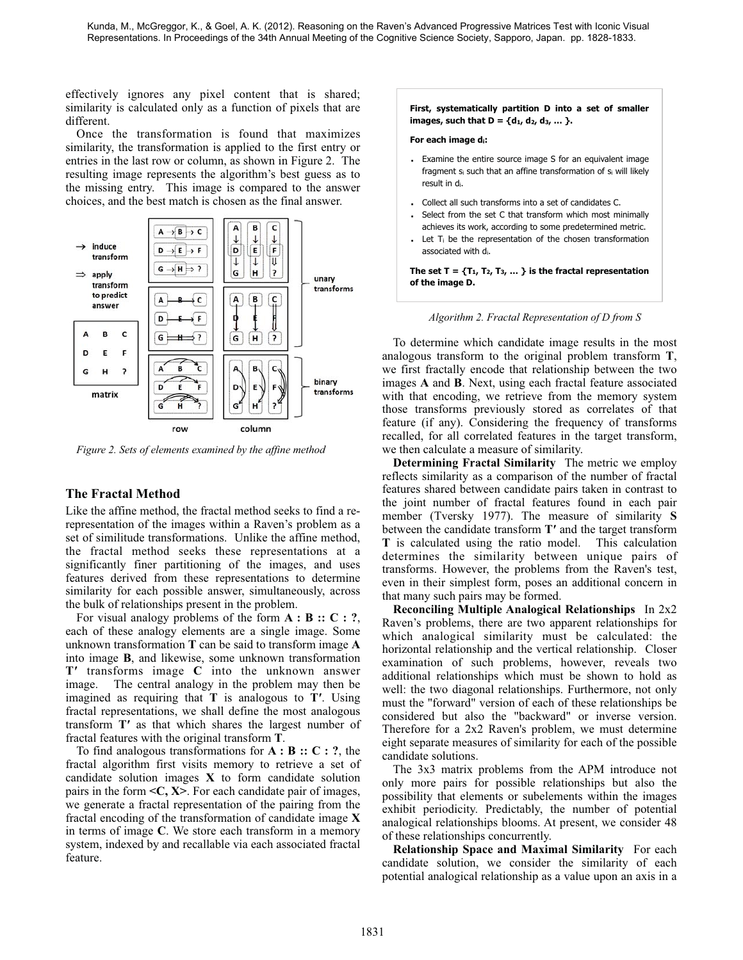effectively ignores any pixel content that is shared; similarity is calculated only as a function of pixels that are different.

Once the transformation is found that maximizes similarity, the transformation is applied to the first entry or entries in the last row or column, as shown in Figure 2. The resulting image represents the algorithm's best guess as to the missing entry. This image is compared to the answer choices, and the best match is chosen as the final answer.



*Figure 2. Sets of elements examined by the affine method*

## **The Fractal Method**

Like the affine method, the fractal method seeks to find a rerepresentation of the images within a Raven's problem as a set of similitude transformations. Unlike the affine method, the fractal method seeks these representations at a significantly finer partitioning of the images, and uses features derived from these representations to determine similarity for each possible answer, simultaneously, across the bulk of relationships present in the problem.

For visual analogy problems of the form **A : B :: C : ?**, each of these analogy elements are a single image. Some unknown transformation **T** can be said to transform image **A** into image **B**, and likewise, some unknown transformation **T′** transforms image **C** into the unknown answer image. The central analogy in the problem may then be imagined as requiring that **T** is analogous to **T′**. Using fractal representations, we shall define the most analogous transform **T′** as that which shares the largest number of fractal features with the original transform **T**.

To find analogous transformations for **A : B :: C : ?**, the fractal algorithm first visits memory to retrieve a set of candidate solution images **X** to form candidate solution pairs in the form **<C, X>**. For each candidate pair of images, we generate a fractal representation of the pairing from the fractal encoding of the transformation of candidate image **X** in terms of image **C**. We store each transform in a memory system, indexed by and recallable via each associated fractal feature.

#### **First, systematically partition D into a set of smaller images, such that**  $D = \{d_1, d_2, d_3, ...\}$ **.**

#### **For each image di:**

- - Examine the entire source image S for an equivalent image fragment si such that an affine transformation of si will likely result in di.
- -Collect all such transforms into a set of candidates C.
- - Select from the set C that transform which most minimally achieves its work, according to some predetermined metric.
- -Let  $T_i$  be the representation of the chosen transformation associated with di.

The set  $T = \{T_1, T_2, T_3, \dots\}$  is the fractal representation **of the image D.**

*Algorithm 2. Fractal Representation of D from S* 

To determine which candidate image results in the most analogous transform to the original problem transform **T**, we first fractally encode that relationship between the two images **A** and **B**. Next, using each fractal feature associated with that encoding, we retrieve from the memory system those transforms previously stored as correlates of that feature (if any). Considering the frequency of transforms recalled, for all correlated features in the target transform, we then calculate a measure of similarity.

**Determining Fractal Similarity** The metric we employ reflects similarity as a comparison of the number of fractal features shared between candidate pairs taken in contrast to the joint number of fractal features found in each pair member (Tversky 1977). The measure of similarity **S** between the candidate transform **T′** and the target transform **T** is calculated using the ratio model. This calculation determines the similarity between unique pairs of transforms. However, the problems from the Raven's test, even in their simplest form, poses an additional concern in that many such pairs may be formed.

**Reconciling Multiple Analogical Relationships** In 2x2 Raven's problems, there are two apparent relationships for which analogical similarity must be calculated: the horizontal relationship and the vertical relationship. Closer examination of such problems, however, reveals two additional relationships which must be shown to hold as well: the two diagonal relationships. Furthermore, not only must the "forward" version of each of these relationships be considered but also the "backward" or inverse version. Therefore for a 2x2 Raven's problem, we must determine eight separate measures of similarity for each of the possible candidate solutions.

The 3x3 matrix problems from the APM introduce not only more pairs for possible relationships but also the possibility that elements or subelements within the images exhibit periodicity. Predictably, the number of potential analogical relationships blooms. At present, we consider 48 of these relationships concurrently.

**Relationship Space and Maximal Similarity** For each candidate solution, we consider the similarity of each potential analogical relationship as a value upon an axis in a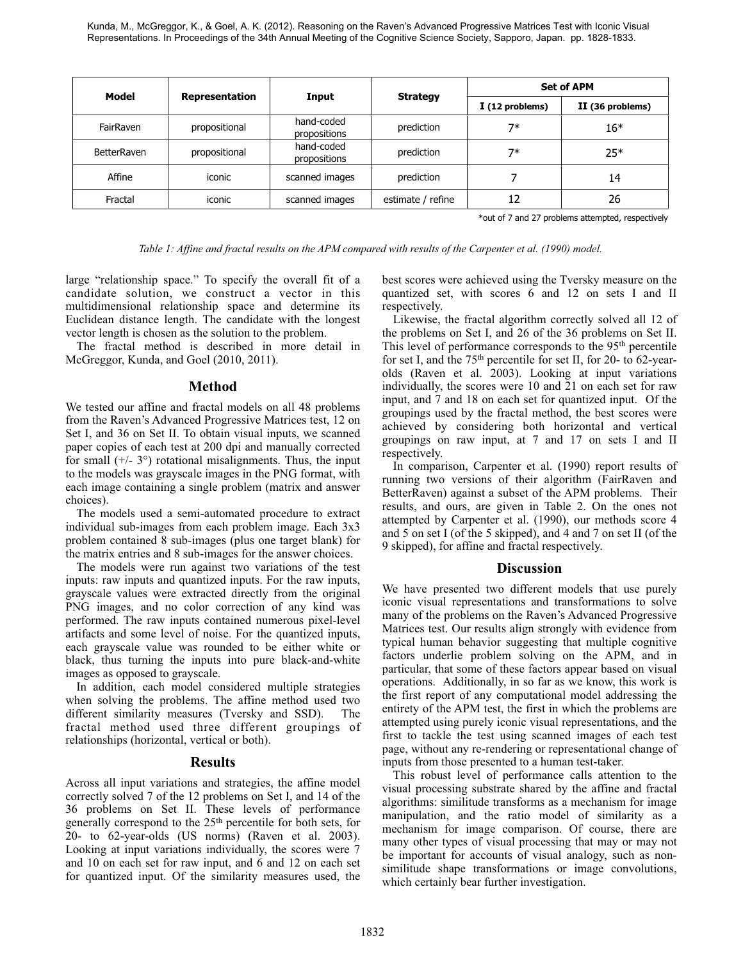Kunda, M., McGreggor, K., & Goel, A. K. (2012). Reasoning on the Raven's Advanced Progressive Matrices Test with Iconic Visual Representations. In Proceedings of the 34th Annual Meeting of the Cognitive Science Society, Sapporo, Japan. pp. 1828-1833.

| Model              | <b>Representation</b> | Input                      | <b>Strategy</b>   | <b>Set of APM</b> |                  |
|--------------------|-----------------------|----------------------------|-------------------|-------------------|------------------|
|                    |                       |                            |                   | I (12 problems)   | II (36 problems) |
| FairRaven          | propositional         | hand-coded<br>propositions | prediction        | $7*$              | $16*$            |
| <b>BetterRaven</b> | propositional         | hand-coded<br>propositions | prediction        | $7*$              | $25*$            |
| Affine             | iconic                | scanned images             | prediction        |                   | 14               |
| Fractal            | iconic                | scanned images             | estimate / refine | 12                | 26               |

\*out of 7 and 27 problems attempted, respectively

*Table 1: Affine and fractal results on the APM compared with results of the Carpenter et al. (1990) model.*

large "relationship space." To specify the overall fit of a candidate solution, we construct a vector in this multidimensional relationship space and determine its Euclidean distance length. The candidate with the longest vector length is chosen as the solution to the problem.

The fractal method is described in more detail in McGreggor, Kunda, and Goel (2010, 2011).

## **Method**

We tested our affine and fractal models on all 48 problems from the Raven's Advanced Progressive Matrices test, 12 on Set I, and 36 on Set II. To obtain visual inputs, we scanned paper copies of each test at 200 dpi and manually corrected for small  $(+/- 3^{\circ})$  rotational misalignments. Thus, the input to the models was grayscale images in the PNG format, with each image containing a single problem (matrix and answer choices).

The models used a semi-automated procedure to extract individual sub-images from each problem image. Each 3x3 problem contained 8 sub-images (plus one target blank) for the matrix entries and 8 sub-images for the answer choices.

The models were run against two variations of the test inputs: raw inputs and quantized inputs. For the raw inputs, grayscale values were extracted directly from the original PNG images, and no color correction of any kind was performed. The raw inputs contained numerous pixel-level artifacts and some level of noise. For the quantized inputs, each grayscale value was rounded to be either white or black, thus turning the inputs into pure black-and-white images as opposed to grayscale.

In addition, each model considered multiple strategies when solving the problems. The affine method used two different similarity measures (Tversky and SSD). The fractal method used three different groupings of relationships (horizontal, vertical or both).

### **Results**

Across all input variations and strategies, the affine model correctly solved 7 of the 12 problems on Set I, and 14 of the 36 problems on Set II. These levels of performance generally correspond to the 25<sup>th</sup> percentile for both sets, for 20- to 62-year-olds (US norms) (Raven et al. 2003). Looking at input variations individually, the scores were 7 and 10 on each set for raw input, and 6 and 12 on each set for quantized input. Of the similarity measures used, the best scores were achieved using the Tversky measure on the quantized set, with scores 6 and 12 on sets I and II respectively.

Likewise, the fractal algorithm correctly solved all 12 of the problems on Set I, and 26 of the 36 problems on Set II. This level of performance corresponds to the 95th percentile for set I, and the 75th percentile for set II, for 20- to 62-yearolds (Raven et al. 2003). Looking at input variations individually, the scores were 10 and 21 on each set for raw input, and 7 and 18 on each set for quantized input. Of the groupings used by the fractal method, the best scores were achieved by considering both horizontal and vertical groupings on raw input, at 7 and 17 on sets I and II respectively.

In comparison, Carpenter et al. (1990) report results of running two versions of their algorithm (FairRaven and BetterRaven) against a subset of the APM problems. Their results, and ours, are given in Table 2. On the ones not attempted by Carpenter et al. (1990), our methods score 4 and 5 on set I (of the 5 skipped), and 4 and 7 on set II (of the 9 skipped), for affine and fractal respectively.

### **Discussion**

We have presented two different models that use purely iconic visual representations and transformations to solve many of the problems on the Raven's Advanced Progressive Matrices test. Our results align strongly with evidence from typical human behavior suggesting that multiple cognitive factors underlie problem solving on the APM, and in particular, that some of these factors appear based on visual operations. Additionally, in so far as we know, this work is the first report of any computational model addressing the entirety of the APM test, the first in which the problems are attempted using purely iconic visual representations, and the first to tackle the test using scanned images of each test page, without any re-rendering or representational change of inputs from those presented to a human test-taker.

This robust level of performance calls attention to the visual processing substrate shared by the affine and fractal algorithms: similitude transforms as a mechanism for image manipulation, and the ratio model of similarity as a mechanism for image comparison. Of course, there are many other types of visual processing that may or may not be important for accounts of visual analogy, such as nonsimilitude shape transformations or image convolutions, which certainly bear further investigation.